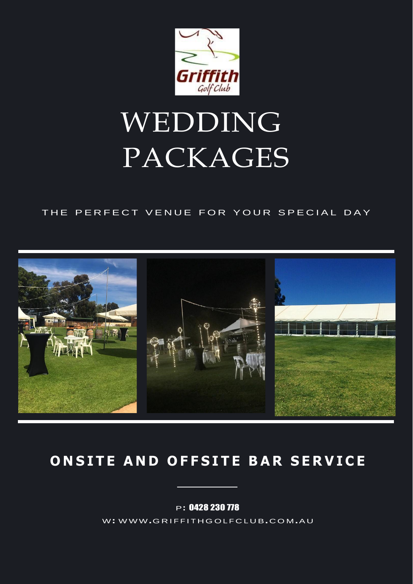

## WEDDING PACKAGES

#### THE PERFECT VENUE FOR YOUR SPECIAL DAY



## ONSITE AND OFFSITE BAR SERVICE

P: 0428 230 778

W: WWW.GRIFFITHGOLFCLUB.COM.AU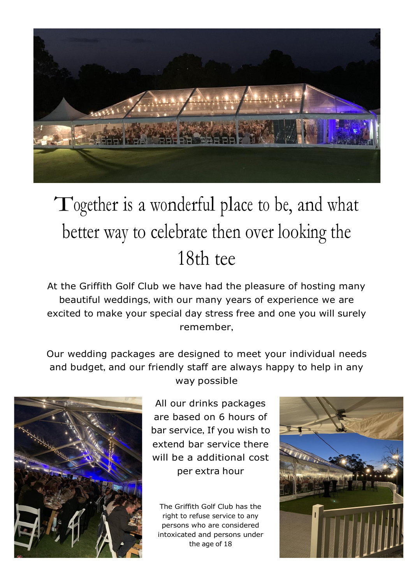

## Together is <sup>a</sup> wonderful place to be, and what better way to celebrate then over looking the 18th tee

At the Griffith Golf Club we have had the pleasure of hosting many beautiful weddings, with our many years of experience we are excited to make your special day stress free and one you will surely remember,

Our wedding packages are designed to meet your individual needs and budget, and our friendly staff are always happy to help in any way possible



All our drinks packages are based on 6 hours of bar service, If you wish to extend bar service there will be a additional cost per extra hour

The Griffith Golf Club has the right to refuse service to any persons who are considered intoxicated and persons under the age of 18